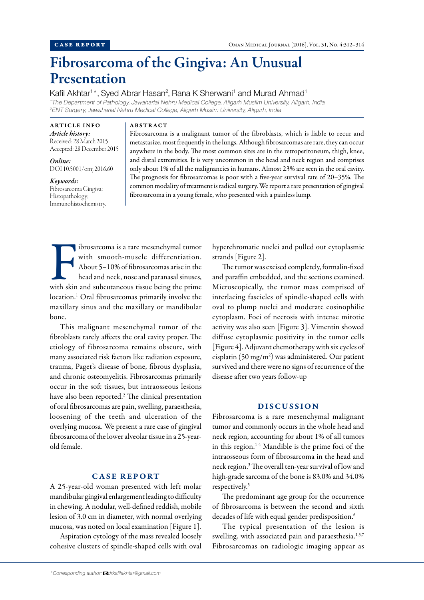# Fibrosarcoma of the Gingiva: An Unusual Presentation

Kafil Akhtar<sup>1\*</sup>, Syed Abrar Hasan<sup>2</sup>, Rana K Sherwani<sup>1</sup> and Murad Ahmad<sup>1</sup>

*1 The Department of Pathology, Jawaharlal Nehru Medical College, Aligarh Muslim University, Aligarh, India 2 ENT Surgery, Jawaharlal Nehru Medical College, Aligarh Muslim University, Aligarh, India*

#### ARTICLE INFO *Article history:*

Received: 28 March 2015 Accepted: 28 December 2015

*Online:* DOI 10.5001/omj.2016.60

*Keywords:* Fibrosarcoma Gingiva; Histopathology; Immunohistochemistry.

### ABSTRACT

Fibrosarcoma is a malignant tumor of the fibroblasts, which is liable to recur and metastasize, most frequently in the lungs. Although fibrosarcomas are rare, they can occur anywhere in the body. The most common sites are in the retroperitoneum, thigh, knee, and distal extremities. It is very uncommon in the head and neck region and comprises only about 1% of all the malignancies in humans. Almost 23% are seen in the oral cavity. The prognosis for fibrosarcomas is poor with a five-year survival rate of 20–35%. The common modality of treatment is radical surgery. We report a rare presentation of gingival fibrosarcoma in a young female, who presented with a painless lump.

Ibrosarcoma is a rare mesenchymal tumor<br>With smooth-muscle differentiation.<br>About 5-10% of fibrosarcomas arise in the<br>head and neck, nose and paranasal sinuses,<br>with skin and subcutaneous tissue being the prime ibrosarcoma is a rare mesenchymal tumor with smooth-muscle differentiation. About 5–10% of fibrosarcomas arise in the head and neck, nose and paranasal sinuses, location.1 Oral fibrosarcomas primarily involve the maxillary sinus and the maxillary or mandibular bone.

This malignant mesenchymal tumor of the fibroblasts rarely affects the oral cavity proper. The etiology of fibrosarcoma remains obscure, with many associated risk factors like radiation exposure, trauma, Paget's disease of bone, fibrous dysplasia, and chronic osteomyelitis. Fibrosarcomas primarily occur in the soft tissues, but intraosseous lesions have also been reported.<sup>2</sup> The clinical presentation of oral fibrosarcomas are pain, swelling, paraesthesia, loosening of the teeth and ulceration of the overlying mucosa. We present a rare case of gingival fibrosarcoma of the lower alveolar tissue in a 25-yearold female.

## CASE REPORT

A 25-year-old woman presented with left molar mandibular gingival enlargement leading to difficulty in chewing. A nodular, well-defined reddish, mobile lesion of 3.0 cm in diameter, with normal overlying mucosa, was noted on local examination [Figure 1].

Aspiration cytology of the mass revealed loosely cohesive clusters of spindle-shaped cells with oval hyperchromatic nuclei and pulled out cytoplasmic strands [Figure 2].

The tumor was excised completely, formalin-fixed and paraffin embedded, and the sections examined. Microscopically, the tumor mass comprised of interlacing fascicles of spindle-shaped cells with oval to plump nuclei and moderate eosinophilic cytoplasm. Foci of necrosis with intense mitotic activity was also seen [Figure 3]. Vimentin showed diffuse cytoplasmic positivity in the tumor cells [Figure 4]. Adjuvant chemotherapy with six cycles of cisplatin (50 mg/m<sup>2</sup>) was administered. Our patient survived and there were no signs of recurrence of the disease after two years follow-up

### DISCUSSION

Fibrosarcoma is a rare mesenchymal malignant tumor and commonly occurs in the whole head and neck region, accounting for about 1% of all tumors in this region.<sup>1-4</sup> Mandible is the prime foci of the intraosseous form of fibrosarcoma in the head and neck region.3 The overall ten-year survival of low and high-grade sarcoma of the bone is 83.0% and 34.0% respectively.5

The predominant age group for the occurrence of fibrosarcoma is between the second and sixth decades of life with equal gender predisposition.<sup>6</sup>

The typical presentation of the lesion is swelling, with associated pain and paraesthesia.<sup>1,3,7</sup> Fibrosarcomas on radiologic imaging appear as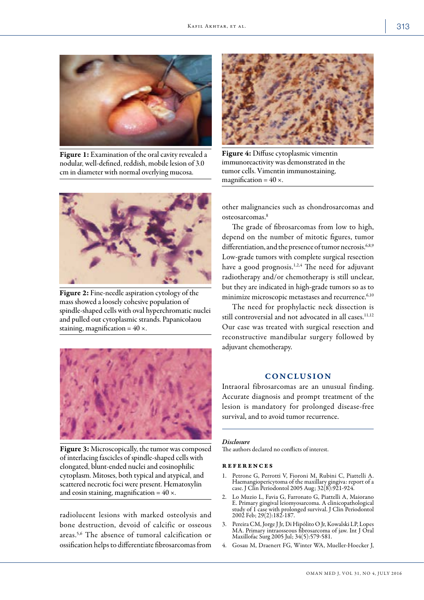

Figure 1: Examination of the oral cavity revealed a nodular, well-defined, reddish, mobile lesion of 3.0 cm in diameter with normal overlying mucosa.



Figure 2: Fine-needle aspiration cytology of the mass showed a loosely cohesive population of spindle-shaped cells with oval hyperchromatic nuclei and pulled out cytoplasmic strands. Papanicolaou staining, magnification =  $40 \times$ .



Figure 3: Microscopically, the tumor was composed of interlacing fascicles of spindle-shaped cells with elongated, blunt-ended nuclei and eosinophilic cytoplasm. Mitoses, both typical and atypical, and scattered necrotic foci were present. Hematoxylin and eosin staining, magnification =  $40 \times$ .

radiolucent lesions with marked osteolysis and bone destruction, devoid of calcific or osseous areas.5,6 The absence of tumoral calcification or ossification helps to differentiate fibrosarcomas from



Figure 4: Diffuse cytoplasmic vimentin immunoreactivity was demonstrated in the tumor cells. Vimentin immunostaining, magnification =  $40 \times$ .

other malignancies such as chondrosarcomas and osteosarcomas.8

The grade of fibrosarcomas from low to high, depend on the number of mitotic figures, tumor differentiation, and the presence of tumor necrosis.<sup>6,8,9</sup> Low-grade tumors with complete surgical resection have a good prognosis.<sup>1,2,4</sup> The need for adjuvant radiotherapy and/or chemotherapy is still unclear, but they are indicated in high-grade tumors so as to minimize microscopic metastases and recurrence.<sup>6,10</sup>

The need for prophylactic neck dissection is still controversial and not advocated in all cases.<sup>11,12</sup> Our case was treated with surgical resection and reconstructive mandibular surgery followed by adjuvant chemotherapy.

## CONCLUSION

Intraoral fibrosarcomas are an unusual finding. Accurate diagnosis and prompt treatment of the lesion is mandatory for prolonged disease-free survival, and to avoid tumor recurrence.

#### *Disclosure*

The authors declared no conflicts of interest.

#### references

- 1. Petrone G, Perrotti V, Fioroni M, Rubini C, Piattelli A. Haemangiopericytoma of the maxillary gingiva: report of a case. J Clin Periodontol 2005 Aug; 32(8):921-924.
- 2. Lo Muzio L, Favia G, Farronato G, Piattelli A, Maiorano E. Primary gingival leiomyosarcoma. A clinicopathological study of 1 case with prolonged survival. J Clin Periodontol 2002 Feb; 29(2):182-187.
- 3. Pereira CM, Jorge J Jr, Di Hipólito O Jr, Kowalski LP, Lopes MA. Primary intraosseous fibrosarcoma of jaw. Int J Oral Maxillofac Surg 2005 Jul; 34(5):579-581.
- 4. Gosau M, Draenert FG, Winter WA, Mueller-Hoecker J,